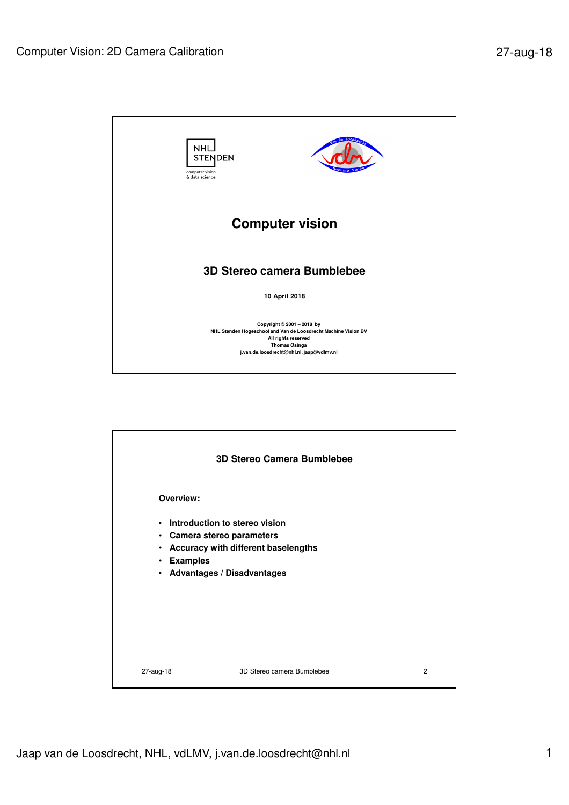

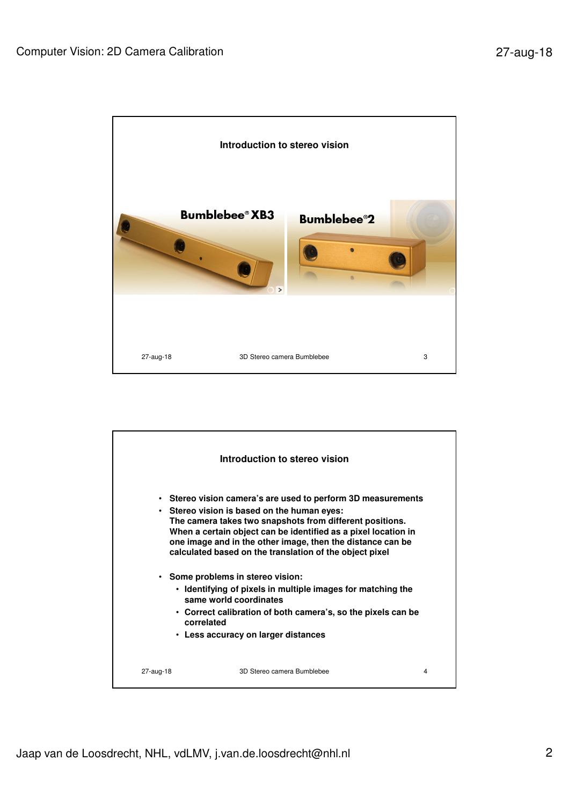

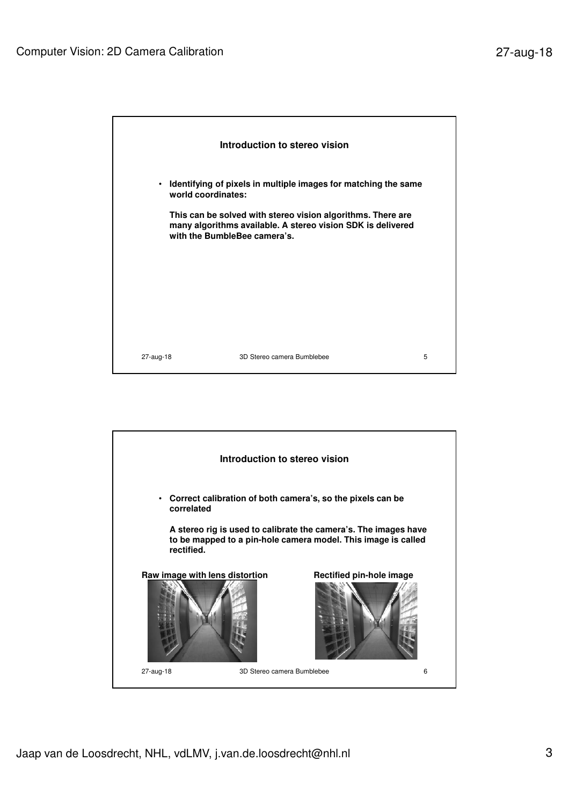

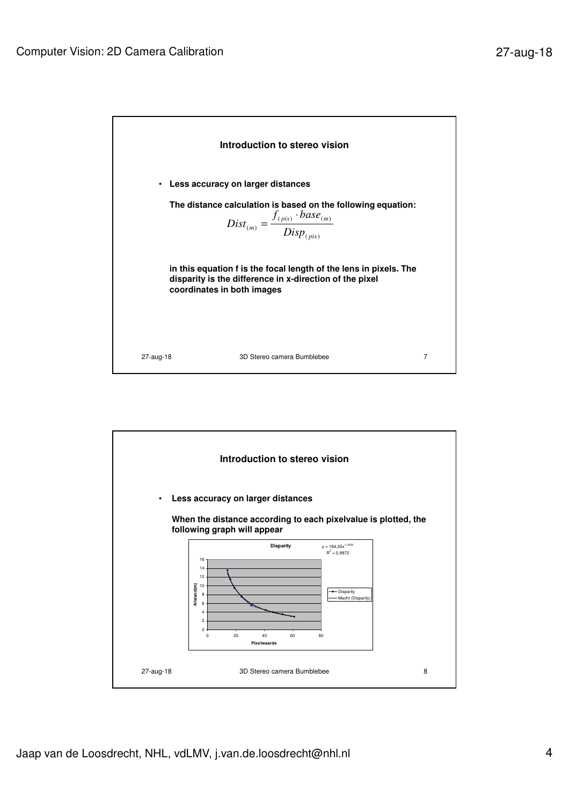

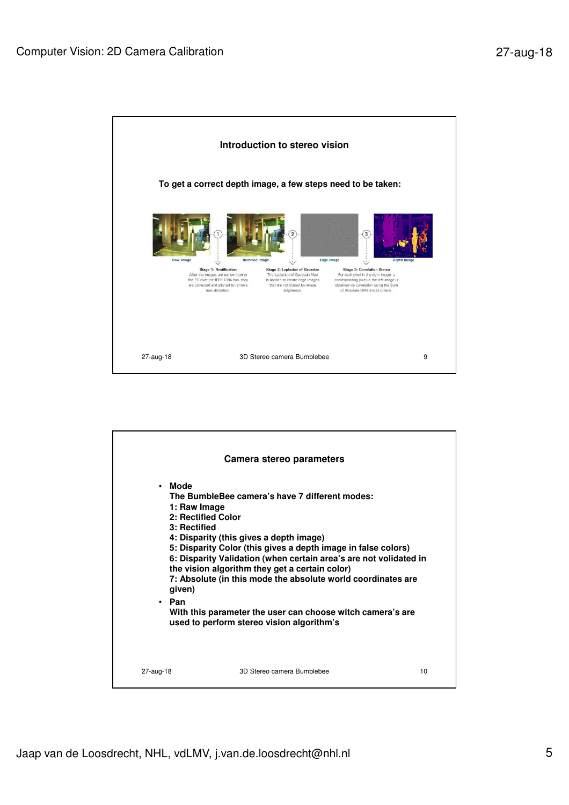

| Mode<br>$\bullet$ | Camera stereo parameters                                                                                                                                                             |
|-------------------|--------------------------------------------------------------------------------------------------------------------------------------------------------------------------------------|
|                   | The BumbleBee camera's have 7 different modes:<br>1: Raw Image<br>2: Rectified Color                                                                                                 |
| 3: Rectified      | 4: Disparity (this gives a depth image)                                                                                                                                              |
|                   | 5: Disparity Color (this gives a depth image in false colors)<br>6: Disparity Validation (when certain area's are not volidated in<br>the vision algorithm they get a certain color) |
| given)            | 7: Absolute (in this mode the absolute world coordinates are                                                                                                                         |
| • Pan             | With this parameter the user can choose witch camera's are<br>used to perform stereo vision algorithm's                                                                              |
|                   |                                                                                                                                                                                      |
| 27-aug-18         | 3D Stereo camera Bumblebee<br>10                                                                                                                                                     |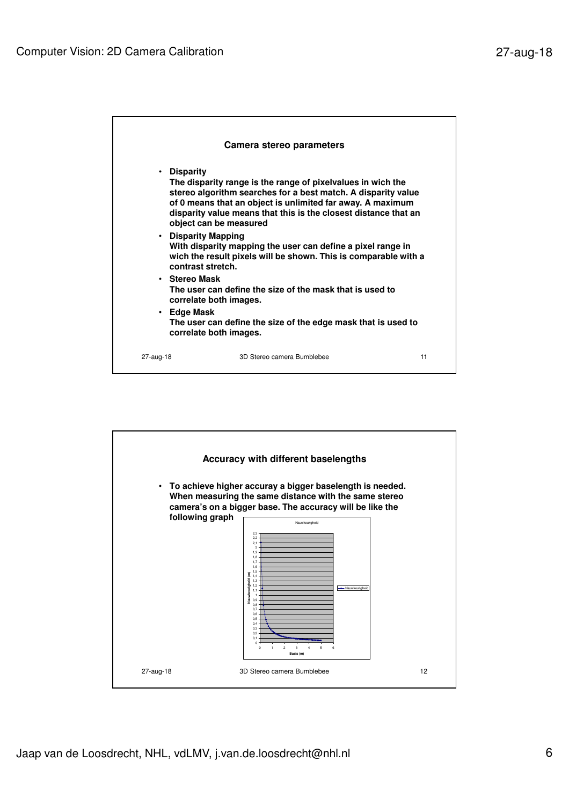| Camera stereo parameters                                                                |                                                                                                                                                                                                                                                                                                                                                                                                                                                                                                                 |  |  |
|-----------------------------------------------------------------------------------------|-----------------------------------------------------------------------------------------------------------------------------------------------------------------------------------------------------------------------------------------------------------------------------------------------------------------------------------------------------------------------------------------------------------------------------------------------------------------------------------------------------------------|--|--|
| • Disparity<br>• Disparity Mapping<br>contrast stretch.<br>• Stereo Mask<br>• Edge Mask | The disparity range is the range of pixelvalues in wich the<br>stereo algorithm searches for a best match. A disparity value<br>of 0 means that an object is unlimited far away. A maximum<br>disparity value means that this is the closest distance that an<br>object can be measured<br>With disparity mapping the user can define a pixel range in<br>wich the result pixels will be shown. This is comparable with a<br>The user can define the size of the mask that is used to<br>correlate both images. |  |  |
|                                                                                         | The user can define the size of the edge mask that is used to<br>correlate both images.                                                                                                                                                                                                                                                                                                                                                                                                                         |  |  |

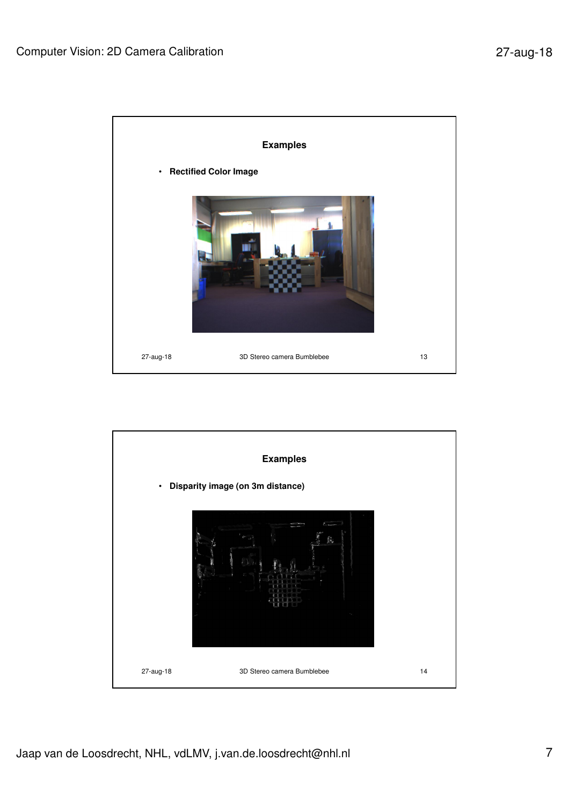

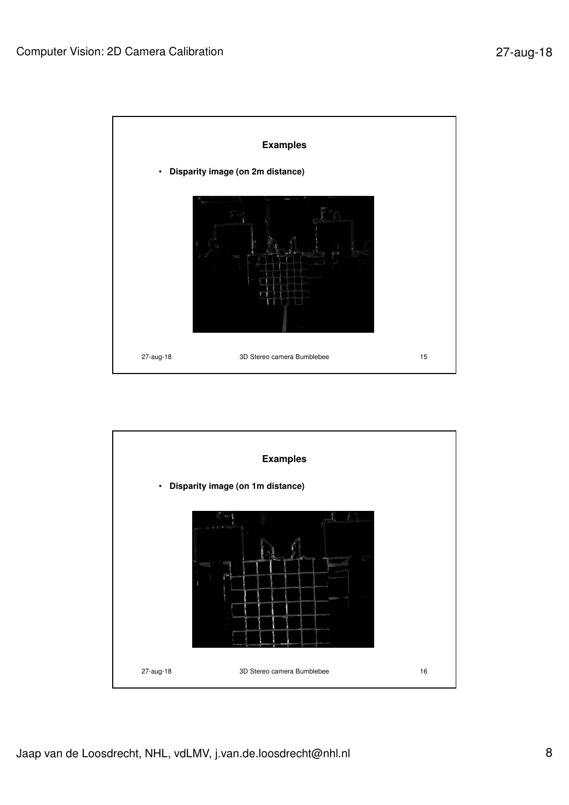